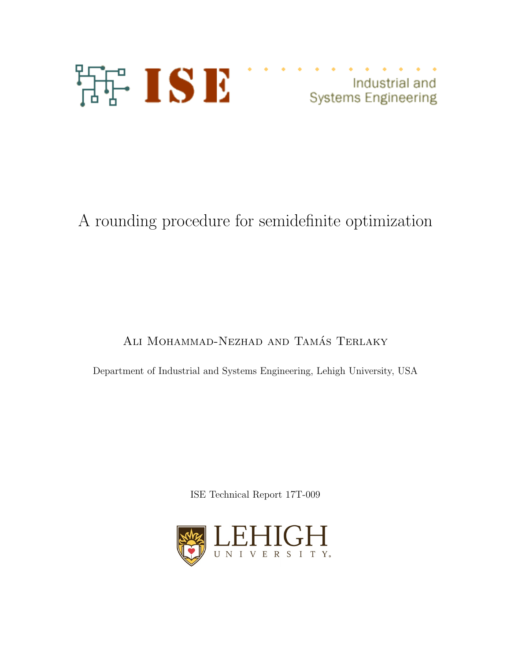

Industrial and industrial and<br>Systems Engineering

# A rounding procedure for semidefinite optimization

ALI MOHAMMAD-NEZHAD AND TAMÁS TERLAKY

Department of Industrial and Systems Engineering, Lehigh University, USA

ISE Technical Report 17T-009

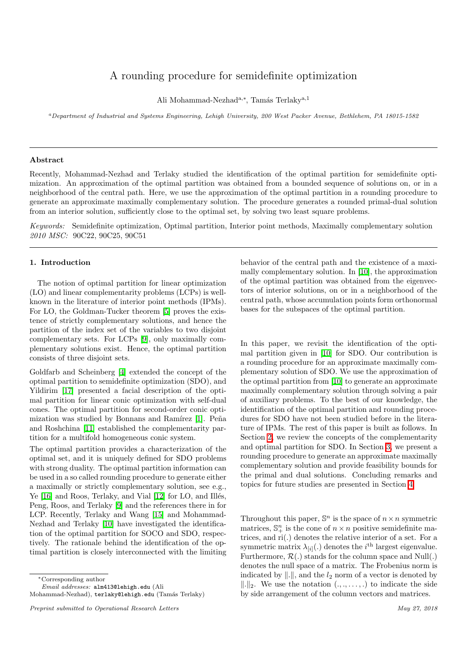# A rounding procedure for semidefinite optimization

Ali Mohammad-Nezhad<sup>a,\*</sup>, Tamás Terlaky<sup>a,1</sup>

*<sup>a</sup>Department of Industrial and Systems Engineering, Lehigh University, 200 West Packer Avenue, Bethlehem, PA 18015-1582*

#### Abstract

Recently, Mohammad-Nezhad and Terlaky studied the identification of the optimal partition for semidefinite optimization. An approximation of the optimal partition was obtained from a bounded sequence of solutions on, or in a neighborhood of the central path. Here, we use the approximation of the optimal partition in a rounding procedure to generate an approximate maximally complementary solution. The procedure generates a rounded primal-dual solution from an interior solution, sufficiently close to the optimal set, by solving two least square problems.

*Keywords:* Semidefinite optimization, Optimal partition, Interior point methods, Maximally complementary solution *2010 MSC:* 90C22, 90C25, 90C51

# 1. Introduction

The notion of optimal partition for linear optimization (LO) and linear complementarity problems (LCPs) is wellknown in the literature of interior point methods (IPMs). For LO, the Goldman-Tucker theorem **5** proves the existence of strictly complementary solutions, and hence the partition of the index set of the variables to two disjoint complementary sets. For LCPs  $[9]$ , only maximally complementary solutions exist. Hence, the optimal partition consists of three disjoint sets.

Goldfarb and Scheinberg [4] extended the concept of the optimal partition to semidefinite optimization (SDO), and Yildirim [17] presented a facial description of the optimal partition for linear conic optimization with self-dual cones. The optimal partition for second-order conic optimization was studied by Bonnans and Ramírez  $\boxed{1}$ . Peña and Roshchina [11] established the complementarity partition for a multifold homogeneous conic system.

The optimal partition provides a characterization of the optimal set, and it is uniquely defined for SDO problems with strong duality. The optimal partition information can be used in a so called rounding procedure to generate either a maximally or strictly complementary solution, see e.g., Ye  $[16]$  and Roos, Terlaky, and Vial  $[12]$  for LO, and Illés, Peng, Roos, and Terlaky [9] and the references there in for LCP. Recently, Terlaky and Wang [15] and Mohammad-Nezhad and Terlaky [10] have investigated the identification of the optimal partition for SOCO and SDO, respectively. The rationale behind the identification of the optimal partition is closely interconnected with the limiting

⇤Corresponding author

*Email addresses:* alm413@lehigh.edu (Ali

Mohammad-Nezhad), terlaky@lehigh.edu (Tamás Terlaky)

behavior of the central path and the existence of a maximally complementary solution. In [10], the approximation of the optimal partition was obtained from the eigenvectors of interior solutions, on or in a neighborhood of the central path, whose accumulation points form orthonormal bases for the subspaces of the optimal partition.

In this paper, we revisit the identification of the optimal partition given in [10] for SDO. Our contribution is a rounding procedure for an approximate maximally complementary solution of SDO. We use the approximation of the optimal partition from [10] to generate an approximate maximally complementary solution through solving a pair of auxiliary problems. To the best of our knowledge, the identification of the optimal partition and rounding procedures for SDO have not been studied before in the literature of IPMs. The rest of this paper is built as follows. In Section  $\overline{2}$ , we review the concepts of the complementarity and optimal partition for SDO. In Section 3, we present a rounding procedure to generate an approximate maximally complementary solution and provide feasibility bounds for the primal and dual solutions. Concluding remarks and topics for future studies are presented in Section  $\overline{4}$ .

Throughout this paper,  $\mathbb{S}^n$  is the space of  $n \times n$  symmetric matrices,  $\mathbb{S}^n_+$  is the cone of  $n \times n$  positive semidefinite matrices, and ri(*.*) denotes the relative interior of a set. For a symmetric matrix  $\lambda_{[i]}(.)$  denotes the *i*<sup>th</sup> largest eigenvalue. Furthermore,  $\mathcal{R}(.)$  stands for the column space and Null(.) denotes the null space of a matrix. The Frobenius norm is indicated by  $\Vert . \Vert$ , and the  $l_2$  norm of a vector is denoted by  $\|\cdot\|_2$ . We use the notation  $(., ., . . . , .)$  to indicate the side by side arrangement of the column vectors and matrices.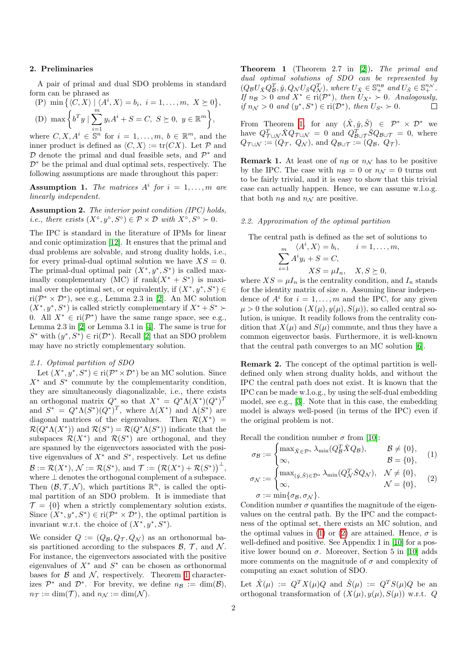#### 2. Preliminaries

A pair of primal and dual SDO problems in standard form can be phrased as

$$
\text{(P) min }\{ \langle C, X \rangle \mid \langle A^i, X \rangle = b_i, \ i = 1, \dots, m, \ X \succeq 0 \},
$$
\n
$$
\text{(D) max }\Big\{ b^T y \mid \sum_{i=1}^m y_i A^i + S = C, \ S \succeq 0, \ y \in \mathbb{R}^m \Big\},\
$$

where  $C, X, A^i \in \mathbb{S}^n$  for  $i = 1, \ldots, m, b \in \mathbb{R}^m$ , and the inner product is defined as  $\langle C, X \rangle := \text{tr}(CX)$ . Let  $\mathcal P$  and *D* denote the primal and dual feasible sets, and  $P<sup>∗</sup>$  and  $\mathcal{D}^*$  be the primal and dual optimal sets, respectively. The following assumptions are made throughout this paper:

Assumption 1. The matrices  $A^i$  for  $i = 1, \ldots, m$  are *linearly independent.*

Assumption 2. *The interior point condition (IPC) holds, i.e., there exists*  $(X^{\circ}, y^{\circ}, S^{\circ}) \in \mathcal{P} \times \mathcal{D}$  *with*  $X^{\circ}, S^{\circ} \succ 0$ *.* 

The IPC is standard in the literature of IPMs for linear and conic optimization [12]. It ensures that the primal and dual problems are solvable, and strong duality holds, i.e., for every primal-dual optimal solution we have  $XS = 0$ . The primal-dual optimal pair  $(X^*, y^*, S^*)$  is called maximally complementary (MC) if  $\text{rank}(X^* + S^*)$  is maximal over the optimal set, or equivalently, if  $(X^*, y^*, S^*) \in$ ri( $\mathcal{P}^* \times \mathcal{D}^*$ ), see e.g., Lemma 2.3 in [2]. An MC solution  $(X^*, y^*, S^*)$  is called strictly complementary if  $X^* + S^*$ 0. All  $X^* \in \text{ri}(\mathcal{P}^*)$  have the same range space, see e.g., Lemma 2.3 in  $\boxed{2}$  or Lemma 3.1 in  $\boxed{4}$ . The same is true for  $S^*$  with  $(y^*, S^*) \in \text{ri}(\mathcal{D}^*)$ . Recall **2** that an SDO problem may have no strictly complementary solution.

# *2.1. Optimal partition of SDO*

Let  $(X^*, y^*, S^*) \in \text{ri}(\mathcal{P}^* \times \mathcal{D}^*)$  be an MC solution. Since *X*⇤ and *S*⇤ commute by the complementarity condition, they are simultaneously diagonalizable, i.e., there exists an orthogonal matrix  $Q^*$  so that  $X^* = Q^* \Lambda (X^*) (Q^*)^T$ and  $S^* = Q^* \Lambda(S^*)(Q^*)^T$ , where  $\Lambda(X^*)$  and  $\Lambda(S^*)$  are diagonal matrices of the eigenvalues. Then  $\mathcal{R}(X^*)$  =  $\mathcal{R}(Q^*\Lambda(X^*))$  and  $\mathcal{R}(S^*) = \mathcal{R}(Q^*\Lambda(S^*))$  indicate that the subspaces  $\mathcal{R}(X^*)$  and  $\mathcal{R}(S^*)$  are orthogonal, and they are spanned by the eigenvectors associated with the positive eigenvalues of  $X^*$  and  $S^*$ , respectively. Let us define  $\mathcal{B} := \mathcal{R}(X^*), \, \mathcal{N} := \mathcal{R}(S^*), \, \text{and } \, \mathcal{T} := (\mathcal{R}(X^*) + \mathcal{R}(S^*))^{\perp},$ where  $\perp$  denotes the orthogonal complement of a subspace. Then  $(\mathcal{B}, \mathcal{T}, \mathcal{N})$ , which partitions  $\mathbb{R}^n$ , is called the optimal partition of an SDO problem. It is immediate that  $\mathcal{T} = \{0\}$  when a strictly complementary solution exists. Since  $(X^*, y^*, S^*) \in \text{ri}(\mathcal{P}^* \times \mathcal{D}^*)$ , the optimal partition is invariant w.r.t. the choice of  $(X^*, y^*, S^*)$ .

We consider  $Q := (Q_{\mathcal{B}}, Q_{\mathcal{T}}, Q_{\mathcal{N}})$  as an orthonormal basis partitioned according to the subspaces  $\beta$ ,  $\mathcal{T}$ , and  $\mathcal{N}$ . For instance, the eigenvectors associated with the positive eigenvalues of  $X^*$  and  $S^*$  can be chosen as orthonormal bases for  $\beta$  and  $\mathcal{N}$ , respectively. Theorem  $\boxed{1}$  characterizes  $\mathcal{P}^*$  and  $\mathcal{D}^*$ . For brevity, we define  $n_{\mathcal{B}} := \dim(\mathcal{B})$ ,  $n_{\mathcal{T}} := \dim(\mathcal{T})$ , and  $n_{\mathcal{N}} := \dim(\mathcal{N})$ .

Theorem 1 (Theorem 2.7 in [2]). *The primal and dual optimal solutions of SDO can be represented by*  $(Q_{\mathcal{B}}U_{\check{X}}Q_{\mathcal{B}}^T, \check{y}, Q_{\mathcal{N}}U_{\check{S}}Q_{\mathcal{N}}^T),$  where  $U_{\check{X}} \in \mathbb{S}_{+}^{n_{\mathcal{B}}}$  and  $U_{\check{S}} \in \mathbb{S}_{+}^{n_{\mathcal{N}}}$ . *If*  $n_B > 0$  *and*  $X^* \in \text{ri}(\mathcal{P}^*)$ , then  $U_{X^*} > 0$ . Analogously, *if*  $n_N > 0$  *and*  $(y^*, S^*) \in \text{ri}(\mathcal{D}^*)$ *, then*  $U_{S^*} > 0$ *.* 

From Theorem 1, for any  $(\check{X}, \check{y}, \check{S}) \in \mathcal{P}^* \times \mathcal{D}^*$  we have  $Q^T_{\mathcal{T}\cup\mathcal{N}}\check{X}Q_{\mathcal{T}\cup\mathcal{N}} = 0$  and  $Q^T_{\mathcal{B}\cup\mathcal{T}}\check{S}Q_{\mathcal{B}\cup\mathcal{T}} = 0$ , where  $Q_{\mathcal{T}\cup\mathcal{N}} := (Q_{\mathcal{T}}, Q_{\mathcal{N}})$ , and  $Q_{\mathcal{B}\cup\mathcal{T}} := (Q_{\mathcal{B}}, Q_{\mathcal{T}})$ .

**Remark 1.** At least one of  $n<sub>B</sub>$  or  $n<sub>N</sub>$  has to be positive by the IPC. The case with  $n_B = 0$  or  $n_N = 0$  turns out to be fairly trivial, and it is easy to show that this trivial case can actually happen. Hence, we can assume w.l.o.g. that both  $n<sub>B</sub>$  and  $n<sub>N</sub>$  are positive.

# *2.2. Approximation of the optimal partition*

The central path is defined as the set of solutions to

$$
\sum_{i=1}^{m} \frac{\langle A^i, X \rangle = b_i, \qquad i = 1, \dots, m, \quad n!}{X S = \mu I_n, \quad X, S \succeq 0,
$$

where  $XS = \mu I_n$  is the centrality condition, and  $I_n$  stands for the identity matrix of size *n*. Assuming linear independence of  $A^i$  for  $i = 1, \ldots, m$  and the IPC, for any given  $\mu > 0$  the solution  $(X(\mu), y(\mu), S(\mu))$ , so called central solution, is unique. It readily follows from the centrality condition that  $X(\mu)$  and  $S(\mu)$  commute, and thus they have a common eigenvector basis. Furthermore, it is well-known that the central path converges to an MC solution  $[6]$ .

Remark 2. The concept of the optimal partition is welldefined only when strong duality holds, and without the IPC the central path does not exist. It is known that the IPC can be made w.l.o.g., by using the self-dual embedding model, see e.g., [3]. Note that in this case, the embedding model is always well-posed (in terms of the IPC) even if the original problem is not.

Recall the condition number  $\sigma$  from [10]:

$$
\sigma_{\mathcal{B}} := \begin{cases} \max_{\check{X} \in \mathcal{P}^*} \lambda_{\min}(Q_{\mathcal{B}}^T \check{X} Q_{\mathcal{B}}), & \mathcal{B} \neq \{0\}, \\ \infty, & \mathcal{B} = \{0\}, \end{cases}
$$
 (1)

$$
\sigma_{\mathcal{N}} := \begin{cases} \max_{(\check{y},\check{S}) \in \mathcal{D}^*} \lambda_{\min}(Q_{\mathcal{N}}^T \check{S} Q_{\mathcal{N}}), & \mathcal{N} \neq \{0\}, \\ \infty, & \mathcal{N} = \{0\}, \end{cases}
$$
 (2)  

$$
\sigma := \min \{\sigma_{\mathcal{B}}, \sigma_{\mathcal{N}}\}.
$$

Condition number  $\sigma$  quantifies the magnitude of the eigenvalues on the central path. By the IPC and the compactness of the optimal set, there exists an MC solution, and the optimal values in  $\Box$  or  $\Box$  are attained. Hence,  $\sigma$  is well-defined and positive. See Appendix 1 in **10** for a positive lower bound on  $\sigma$ . Moreover, Section 5 in [10] adds more comments on the magnitude of  $\sigma$  and complexity of computing an exact solution of SDO.

Let  $\hat{X}(\mu) := Q^T X(\mu) Q$  and  $\hat{S}(\mu) := Q^T S(\mu) Q$  be an orthogonal transformation of  $(X(\mu), y(\mu), S(\mu))$  w.r.t. *Q*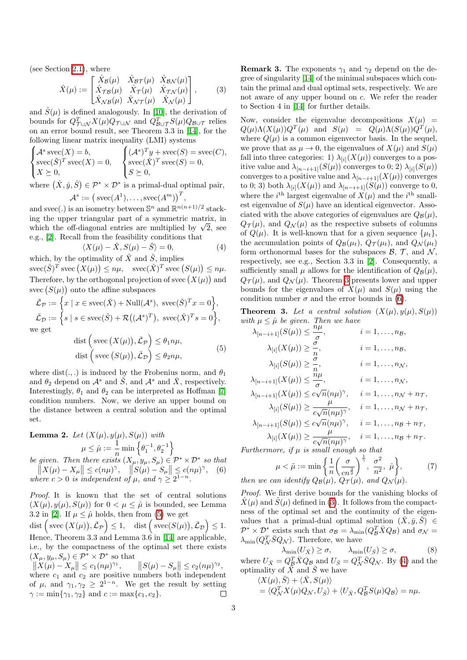(see Section  $\overline{2.1}$ ), where

$$
\hat{X}(\mu) := \begin{bmatrix} \hat{X}_{\mathcal{B}}(\mu) & \hat{X}_{\mathcal{B}\mathcal{T}}(\mu) & \hat{X}_{\mathcal{B}\mathcal{N}}(\mu) \\ \hat{X}_{\mathcal{T}\mathcal{B}}(\mu) & \hat{X}_{\mathcal{T}}(\mu) & \hat{X}_{\mathcal{T}\mathcal{N}}(\mu) \\ \hat{X}_{\mathcal{N}\mathcal{B}}(\mu) & \hat{X}_{\mathcal{N}\mathcal{T}}(\mu) & \hat{X}_{\mathcal{N}}(\mu) \end{bmatrix},
$$
\n(3)

and  $\hat{S}(\mu)$  is defined analogously. In [10], the derivation of bounds for  $Q^T_{\mathcal{T}\cup\mathcal{N}}X(\mu)Q_{\mathcal{T}\cup\mathcal{N}}$  and  $Q^T_{\mathcal{B}\cup\mathcal{T}}S(\mu)Q_{\mathcal{B}\cup\mathcal{T}}$  relies on an error bound result, see Theorem 3.3 in [14], for the following linear matrix inequality (LMI) systems

$$
\begin{cases}\n\mathcal{A}^s \operatorname{spec}(X) = b, \\
\operatorname{spec}(\check{S})^T \operatorname{spec}(X) = 0, \\
X \succeq 0, \\
\vdots \\
\begin{cases}\n(\check{X} \times \check{S}) \circ \mathcal{D}^* & \text{if } \check{S} \\
\vdots \\
\end{cases} \\
\text{vec}(\check{X} \times \check{S}) \circ \mathcal{D}^* & \text{if } \check{S} \text{ is } \check{S} \\
\end{cases}
$$

where  $(\check{X}, \check{y}, \check{S}) \in \mathcal{P}^* \times \mathcal{D}^*$  is a primal-dual optimal pair,  $\mathcal{A}^s := \left(\text{spec}(A^1), \ldots, \text{spec}(A^m)\right)^T$ 

and 
$$
spec(.)
$$
 is an isometry between  $\mathbb{S}^n$  and  $\mathbb{R}^{n(n+1)/2}$  stacking the upper triangular part of a symmetric matrix, in which the off-diagonal entries are multiplied by  $\sqrt{2}$ , see e.g.,  $2$ . Recall from the feasibility conditions that

$$
\langle X(\mu) - \check{X}, S(\mu) - \check{S} \rangle = 0,
$$
\n
$$
\text{triangleity of } \check{X} \text{ and } \check{S} \text{ implies}
$$
\n
$$
(4)
$$

which, by the optimality of  $\overline{X}$  and  $\overline{S}$ , implies  $\text{spec}(\check{S})^T \text{ avec } (X(\mu)) \leq n\mu, \quad \text{spec}(\check{X})^T \text{ avec } (S(\mu)) \leq n\mu.$ Therefore, by the orthogonal projection of svec  $(X(\mu))$  and svec  $(S(\mu))$  onto the affine subspaces

$$
\bar{\mathcal{L}}_{\mathcal{P}} := \left\{ x \mid x \in \text{spec}(\check{X}) + \text{Null}(\mathcal{A}^s), \text{ } \text{succ}(\check{S})^T x = 0 \right\},
$$
\n
$$
\bar{\mathcal{L}}_{\mathcal{D}} := \left\{ s \mid s \in \text{spec}(\check{S}) + \mathcal{R}((\mathcal{A}^s)^T), \text{ } \text{spec}(\check{X})^T s = 0 \right\},
$$
\nwe get

dist  $(Svec(X(\mu)), \bar{L}_P) \leq \theta_1 n \mu$ ,  $\text{dist}\left(\text{svec}\left(S(\mu)\right), \bar{\mathcal{L}}_{\mathcal{D}}\right) \leq \theta_2 n \mu,$ 

where dist(.,.) is induced by the Frobenius norm, and  $\theta_1$ and  $\theta_2$  depend on  $\mathcal{A}^s$  and  $\check{S}$ , and  $\mathcal{A}^s$  and  $\check{X}$ , respectively. Interestingly,  $\theta_1$  and  $\theta_2$  can be interpreted as Hoffman [7] condition numbers. Now, we derive an upper bound on the distance between a central solution and the optimal set.

**Lemma 2.** Let 
$$
(X(\mu), y(\mu), S(\mu))
$$
 with  
\n
$$
\mu \leq \hat{\mu} := \frac{1}{n} \min \left\{ \theta_1^{-1}, \theta_2^{-1} \right\}
$$
\nbe given. Then there exists  $(X_{\mu}, y_{\mu}, S_{\mu}) \in \mathcal{P}^* \times \mathcal{D}^*$  so that  
\n
$$
||X(\mu) - X_{\mu}|| \leq c(n\mu)^{\gamma}, \quad ||S(\mu) - S_{\mu}|| \leq c(n\mu)^{\gamma}, \quad (6)
$$

where 
$$
c > 0
$$
 is independent of  $\mu$ , and  $\gamma \geq 2^{1-n}$ .

*Proof.* It is known that the set of central solutions  $(X(\mu), y(\mu), S(\mu))$  for  $0 < \mu \leq \hat{\mu}$  is bounded, see Lemma 3.2 in 2. If  $\mu \leq \hat{\mu}$  holds, then from (5) we get  $\det \left( \text{spec} (X(\mu)), \bar{L}_{\mathcal{P}} \right) \leq 1, \quad \det \left( \text{spec}(S(\mu)), \bar{L}_{\mathcal{D}} \right) \leq 1.$ Hence, Theorem 3.3 and Lemma 3.6 in  $\boxed{14}$  are applicable, i.e., by the compactness of the optimal set there exists  $(X_{\mu}, y_{\mu}, S_{\mu}) \in \mathcal{P}^* \times \mathcal{D}^*$  so that

 $||X(\mu) - X_{\mu}|| \leq c_1(n\mu)^{\gamma_1}, \qquad ||S(\mu) - S_{\mu}|| \leq c_2(n\mu)^{\gamma_2},$ where  $c_1$  and  $c_2$  are positive numbers both independent of  $\mu$ , and  $\gamma_1, \gamma_2 \geq 2^{1-n}$ . We get the result by setting  $\gamma := \min\{\gamma_1, \gamma_2\}$  and  $c := \max\{c_1, c_2\}$ .  $\gamma := \min\{\gamma_1, \gamma_2\}$  and  $c := \max\{c_1, c_2\}.$ 

**Remark 3.** The exponents  $\gamma_1$  and  $\gamma_2$  depend on the degree of singularity  $[14]$  of the minimal subspaces which contain the primal and dual optimal sets, respectively. We are not aware of any upper bound on *c*. We refer the reader to Section 4 in [14] for further details.

Now, consider the eigenvalue decompositions  $X(\mu)$  =  $Q(\mu)\Lambda(X(\mu))Q^T(\mu)$  and  $S(\mu) = Q(\mu)\Lambda(S(\mu))Q^T(\mu)$ , where  $Q(\mu)$  is a common eigenvector basis. In the sequel, we prove that as  $\mu \to 0$ , the eigenvalues of  $X(\mu)$  and  $S(\mu)$ fall into three categories: 1)  $\lambda_{[i]}(X(\mu))$  converges to a positive value and  $\lambda_{[n-i+1]}(S(\mu))$  converges to 0; 2)  $\lambda_{[i]}(S(\mu))$ converges to a positive value and  $\lambda_{[n-i+1]}(X(\mu))$  converges to 0; 3) both  $\lambda_{[i]}(X(\mu))$  and  $\lambda_{[n-i+1]}(S(\mu))$  converge to 0, where the *i*<sup>th</sup> largest eigenvalue of  $X(\mu)$  and the *i*<sup>th</sup> smallest eigenvalue of  $S(\mu)$  have an identical eigenvector. Associated with the above categories of eigenvalues are  $Q_B(\mu)$ ,  $Q_{\mathcal{T}}(\mu)$ , and  $Q_{\mathcal{N}}(\mu)$  as the respective subsets of columns of  $Q(\mu)$ . It is well-known that for a given sequence  $\{\mu_t\}$ , the accumulation points of  $Q_B(\mu_t)$ ,  $Q_{\mathcal{T}}(\mu_t)$ , and  $Q_{\mathcal{N}}(\mu_t)$ form orthonormal bases for the subspaces  $\mathcal{B}$ ,  $\mathcal{T}$ , and  $\mathcal{N}$ , respectively, see e.g., Section 3.3 in  $[2]$ . Consequently, a sufficiently small  $\mu$  allows for the identification of  $Q_B(\mu)$ ,  $Q_{\mathcal{T}}(\mu)$ , and  $Q_{\mathcal{N}}(\mu)$ . Theorem  $\beta$  presents lower and upper bounds for the eigenvalues of  $X(\mu)$  and  $S(\mu)$  using the condition number  $\sigma$  and the error bounds in (6).

**Theorem 3.** Let a central solution  $(X(\mu), y(\mu), S(\mu))$ 

with 
$$
\mu \leq \hat{\mu}
$$
 be given. Then we have  
\n
$$
\lambda_{[n-i+1]}(S(\mu)) \leq \frac{n\mu}{\sigma}, \qquad i = 1, ..., n_{\mathcal{B}},
$$
\n
$$
\lambda_{[i]}(X(\mu)) \geq \frac{\sigma}{n}, \qquad i = 1, ..., n_{\mathcal{B}},
$$
\n
$$
\lambda_{[i]}(S(\mu)) \geq \frac{\sigma}{n}, \qquad i = 1, ..., n_{\mathcal{N}},
$$
\n
$$
\lambda_{[n-i+1]}(X(\mu)) \leq \frac{n\mu}{\sigma}, \qquad i = 1, ..., n_{\mathcal{N}},
$$
\n
$$
\lambda_{[n-i+1]}(X(\mu)) \leq c\sqrt{n}(n\mu)^{\gamma}, \qquad i = 1, ..., n_{\mathcal{N}} + n_{\mathcal{T}},
$$
\n
$$
\lambda_{[i]}(S(\mu)) \geq \frac{\mu}{c\sqrt{n}(n\mu)^{\gamma}}, \qquad i = 1, ..., n_{\mathcal{N}} + n_{\mathcal{T}},
$$
\n
$$
\lambda_{[n-i+1]}(S(\mu)) \leq c\sqrt{n}(n\mu)^{\gamma}, \qquad i = 1, ..., n_{\mathcal{B}} + n_{\mathcal{T}},
$$
\n
$$
\lambda_{[i]}(X(\mu)) \geq \frac{\mu}{c\sqrt{n}(n\mu)^{\gamma}}, \qquad i = 1, ..., n_{\mathcal{B}} + n_{\mathcal{T}}.
$$
\nFurther more, if  $\mu$  is small enough so that

*Furthermore, if µ is small enough so that*

$$
\mu < \tilde{\mu} := \min\left\{\frac{1}{n}\left(\frac{\sigma}{cn^{\frac{3}{2}}}\right)^{\frac{1}{\gamma}}, \frac{\sigma^2}{n^2}, \hat{\mu}\right\},\tag{7}
$$
\nan identity  $O_R(\mu)$ ,  $O_{\mathcal{T}}(\mu)$ , and  $O_{\mathcal{N}}(\mu)$ .

*then we can identify*  $Q_B(\mu)$ *,*  $Q_{\mathcal{T}}(\mu)$ *, and*  $Q_{\mathcal{N}}(\mu)$ 

*Proof.* We first derive bounds for the vanishing blocks of  $\hat{X}(\mu)$  and  $\hat{S}(\mu)$  defined in (3). It follows from the compactness of the optimal set and the continuity of the eigenvalues that a primal-dual optimal solution  $(\bar{X}, \bar{y}, \bar{S}) \in$  $\mathcal{P}^* \times \mathcal{D}^*$  exists such that  $\sigma_B = \lambda_{\min}(Q_B^T \bar{X} Q_B)$  and  $\sigma_{\mathcal{N}} =$  $\lambda_{\min}(Q^T_{\mathcal{N}}\overline{S}Q_{\mathcal{N}})$ . Therefore, we have

$$
\lambda_{\min}(U_{\bar{X}}) \ge \sigma, \qquad \lambda_{\min}(U_{\bar{S}}) \ge \sigma,
$$
\n(8)

where  $U_{\bar{X}} = Q_B^T \bar{X} Q_B$  and  $U_{\bar{S}} = Q_{\mathcal{N}}^T \bar{S} Q_{\mathcal{N}}$ . By (4) and the optimality of  $\bar{X}$  and  $\bar{S}$  we have

$$
\langle X(\mu), \overline{S} \rangle + \langle \overline{X}, S(\mu) \rangle = \langle Q_{\mathcal{N}}^T X(\mu) Q_{\mathcal{N}}, U_{\overline{S}} \rangle + \langle U_{\overline{X}}, Q_{\mathcal{B}}^T S(\mu) Q_{\mathcal{B}} \rangle = n\mu.
$$

(5)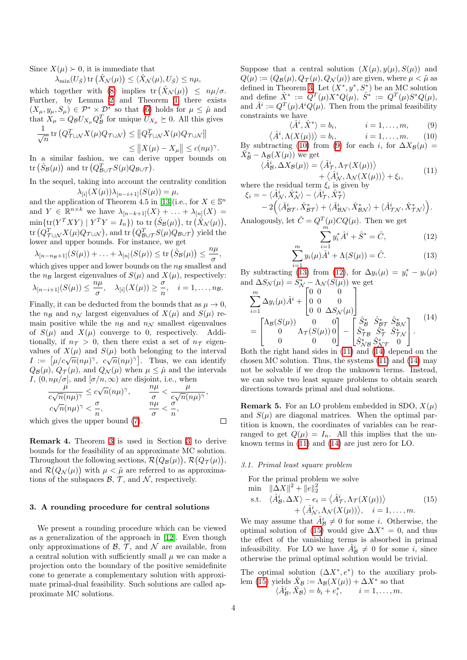Since  $X(\mu) > 0$ , it is immediate that

 $\lambda_{\min}(U_{\bar{S}})$  tr  $(\hat{X}_{\mathcal{N}}(\mu)) \leq \langle \hat{X}_{\mathcal{N}}(\mu), U_{\bar{S}} \rangle \leq n\mu$ ,

which together with  $\left(\frac{\partial}{\partial n}\right)$  implies  $tr\left(\hat{X}_{\mathcal{N}}(\mu)\right) \leq n\mu/\sigma$ . Further, by Lemma  $\boxed{2}$  and Theorem  $\boxed{1}$  there exists  $(X_{\mu}, y_{\mu}, S_{\mu}) \in \mathcal{P}^* \times \mathcal{D}^*$  so that (6) holds for  $\mu \leq \hat{\mu}$  and that  $X_{\mu} = Q_{\mathcal{B}} U_{X_{\mu}} Q_{\mathcal{B}}^T$  for unique  $\overline{U}_{X_{\mu}} \succeq 0$ . All this gives

$$
\frac{1}{\sqrt{n}} \operatorname{tr} \left( Q_{\mathcal{T} \cup \mathcal{N}}^T X(\mu) Q_{\mathcal{T} \cup \mathcal{N}} \right) \leq \| Q_{\mathcal{T} \cup \mathcal{N}}^T X(\mu) Q_{\mathcal{T} \cup \mathcal{N}} \|
$$
  

$$
\leq \| X(\mu) - X_{\mu} \| \leq c(n\mu)^{\gamma}.
$$

In a similar fashion, we can derive upper bounds on  $\text{tr}\left(\hat{S}_{\mathcal{B}}(\mu)\right)$  and  $\text{tr}\left(Q_{\mathcal{B}\cup\mathcal{T}}^T S(\mu)Q_{\mathcal{B}\cup\mathcal{T}}\right).$ 

In the sequel, taking into account the centrality condition  $\lambda_{[i]}(X(\mu))\lambda_{[n-i+1]}(S(\mu)) = \mu,$ 

and the application of Theorem 4.5 in  $[13]$  (i.e., for  $X \in \mathbb{S}^n$ and  $Y \in \mathbb{R}^{n \times k}$  we have  $\lambda_{[n-k+1]}(X) + \ldots + \lambda_{[n]}(X) =$  $\min\{\text{tr}(Y^TXY) \mid Y^T Y = I_n\}\right)$  to  $\text{tr}(\hat{S}_\mathcal{B}(\mu))$ ,  $\text{tr}(\hat{X}_\mathcal{N}(\mu))$ ,  $\text{tr} (Q^T_{\mathcal{T}\cup\mathcal{N}}X(\mu)Q_{\mathcal{T}\cup\mathcal{N}}),$  and  $\text{tr} (Q^T_{\mathcal{B}\cup\mathcal{T}}S(\mu)Q_{\mathcal{B}\cup\mathcal{T}})$  yield the lower and upper bounds. For instance, we get *nµ*

$$
\lambda_{[n-n_B+1]}(S(\mu)) + \ldots + \lambda_{[n]}(S(\mu)) \le \text{tr}\left(\hat{S}_B(\mu)\right) \le \frac{n\mu}{\sigma},
$$
\nwhich gives upper and lower bounds on the  $n_B$  smallest and the  $n$ -al user is computable.

the 
$$
n_{\mathcal{B}}
$$
 largest eigenvalues of  $S(\mu)$  and  $X(\mu)$ , respectively:  
\n
$$
\lambda_{[n-i+1]}(S(\mu)) \le \frac{n\mu}{\sigma}, \quad \lambda_{[i]}(X(\mu)) \ge \frac{\sigma}{n}, \quad i = 1, ..., n_{\mathcal{B}}.
$$

Finally, it can be deducted from the bounds that as  $\mu \to 0$ , the  $n_B$  and  $n_N$  largest eigenvalues of  $X(\mu)$  and  $S(\mu)$  remain positive while the  $n<sub>B</sub>$  and  $n<sub>N</sub>$  smallest eigenvalues of  $S(\mu)$  and  $X(\mu)$  converge to 0, respectively. Additionally, if  $n<sub>T</sub> > 0$ , then there exist a set of  $n<sub>T</sub>$  eigenvalues of  $X(\mu)$  and  $S(\mu)$  both belonging to the interval  $I := [\mu/c\sqrt{n}(n\mu)^{\gamma}, c\sqrt{n}(n\mu)^{\gamma}]$ . Thus, we can identify  $Q_{\mathcal{B}}(\mu)$ ,  $Q_{\mathcal{T}}(\mu)$ , and  $Q_{\mathcal{N}}(\mu)$  when  $\mu \leq \hat{\mu}$  and the intervals *I*,  $(0, n\mu/\sigma]$ , and  $[\sigma/n, \infty)$  are disjoint, i.e., when  $\mu$ 

$$
\frac{\mu}{c\sqrt{n}(n\mu)^{\gamma}} \le c\sqrt{n}(n\mu)^{\gamma}, \qquad \frac{n\mu}{\sigma} < \frac{\mu}{c\sqrt{n}(n\mu)^{\gamma}},
$$
  
\n $c\sqrt{n}(n\mu)^{\gamma} < \frac{\sigma}{n}, \qquad \frac{n\mu}{\sigma} < \frac{\sigma}{n},$   
\na gives the upper bound ( $\sqrt{n}$ ).

which gives the upper bound  $(T)$ .

**Remark 4.** Theorem **3** is used in Section **3** to derive  
bounds for the feasibility of an approximate MC solution.  
Throughout the following sections, 
$$
\mathcal{R}(Q_B(\mu)), \mathcal{R}(Q_{\mathcal{T}}(\mu)),
$$
  
and  $\mathcal{R}(Q_{\mathcal{N}}(\mu))$  with  $\mu < \tilde{\mu}$  are referred to as approxima-  
tions of the subspaces  $\mathcal{B}, \mathcal{T}$ , and  $\mathcal{N}$ , respectively.

#### 3. A rounding procedure for central solutions

We present a rounding procedure which can be viewed as a generalization of the approach in [12]. Even though only approximations of  $\beta$ ,  $\mathcal{T}$ , and  $\mathcal{N}$  are available, from a central solution with sufficiently small  $\mu$  we can make a projection onto the boundary of the positive semidefinite cone to generate a complementary solution with approximate primal-dual feasibility. Such solutions are called approximate MC solutions.

Suppose that a central solution  $(X(\mu), y(\mu), S(\mu))$  and  $Q(\mu) := (Q_{\mathcal{B}}(\mu), Q_{\mathcal{T}}(\mu), Q_{\mathcal{N}}(\mu))$  are given, where  $\mu < \tilde{\mu}$  as defined in Theorem  $3.$  Let  $(X^*, y^*, S^*)$  be an MC solution and define  $\hat{X}^* := \overline{Q}^T(\mu)X^*Q(\mu), \ \hat{S}^* := Q^T(\mu)S^*Q(\mu),$ and  $\hat{A}^i := Q^T(\mu)A^iQ(\mu)$ . Then from the primal feasibility constraints we have

$$
\langle \hat{A}^i, \hat{X}^* \rangle = b_i, \qquad i = 1, \dots, m, \qquad (9)
$$

 $\langle \hat{A}^i, \Lambda(X(\mu)) \rangle = b_i, \qquad i = 1, \dots, m.$  (10) By subtracting  $(10)$  from  $(9)$  for each *i*, for  $\Delta X_B(\mu)$  =  $\hat{X}_{\mathcal{B}}^* - \Lambda_{\mathcal{B}}(X(\mu))$  we get

$$
\langle \hat{A}_{\mathcal{B}}^{i}, \Delta X_{\mathcal{B}}(\mu) \rangle = \langle \hat{A}_{\mathcal{T}}^{i}, \Lambda_{\mathcal{T}}(X(\mu)) \rangle + \langle \hat{A}_{\mathcal{N}}^{i}, \Lambda_{\mathcal{N}}(X(\mu)) \rangle + \xi_{i},
$$
(11)

where the residual term  $\xi_i$  is given by

$$
\xi_i = -\langle \hat{A}_{\mathcal{N}}^i, \hat{X}_{\mathcal{N}}^* \rangle - \langle \hat{A}_{\mathcal{T}}^i, \hat{X}_{\mathcal{T}}^* \rangle - 2 \Big( \langle \hat{A}_{\mathcal{B}\mathcal{T}}^i, \hat{X}_{\mathcal{B}\mathcal{T}}^* \rangle + \langle \hat{A}_{\mathcal{B}\mathcal{N}}^i, \hat{X}_{\mathcal{B}\mathcal{N}}^* \rangle + \langle \hat{A}_{\mathcal{T}\mathcal{N}}^i, \hat{X}_{\mathcal{T}\mathcal{N}}^* \rangle \Big).
$$

Analogously, let  $\hat{C} = Q^T(\mu) C Q(\mu)$ . Then we get

$$
\sum_{i=1}^{m} y_i^* \hat{A}^i + \hat{S}^* = \hat{C}, \tag{12}
$$

$$
\sum_{i=1}^{m} y_i(\mu) \hat{A}^i + \Lambda(S(\mu)) = \hat{C}.
$$
 (13)

By subtracting  $\frac{i-1}{\sqrt{13}}$  from  $\frac{\sqrt{12}}{2}$ , for  $\Delta y_i(\mu) = y_i^* - y_i(\mu)$ and  $\Delta S_{\mathcal{N}}(\mu) = \hat{S}_{\mathcal{N}}^* - \Lambda_{\mathcal{N}}(\hat{S(\mu)})$  we get

$$
\sum_{i=1}^{m} \Delta y_i(\mu) \hat{A}^i + \begin{bmatrix} 0 & 0 & 0 \\ 0 & 0 & 0 \\ 0 & 0 & \Delta S_{\mathcal{N}}(\mu) \end{bmatrix}
$$
\n
$$
= \begin{bmatrix} \Lambda_{\mathcal{B}}(S(\mu)) & 0 & 0 \\ 0 & \Lambda_{\mathcal{T}}(S(\mu)) & 0 \\ 0 & 0 & 0 \end{bmatrix} - \begin{bmatrix} \hat{S}_{\mathcal{B}}^* & \hat{S}_{\mathcal{B}\mathcal{T}}^* & \hat{S}_{\mathcal{B}\mathcal{N}}^* \\ \hat{S}_{\mathcal{T}}^* & \hat{S}_{\mathcal{T}}^* & \hat{S}_{\mathcal{T}\mathcal{N}}^* \\ \hat{S}_{\mathcal{N}\mathcal{B}}^* & \hat{S}_{\mathcal{N}\mathcal{T}}^* & 0 \end{bmatrix}.
$$
\nBoth the right hand sides in (11) and (14) depend on the

chosen MC solution. Thus, the systems  $(11)$  and  $(14)$  may not be solvable if we drop the unknown terms. Instead, we can solve two least square problems to obtain search directions towards primal and dual solutions.

**Remark 5.** For an LO problem embedded in SDO,  $X(\mu)$ and  $S(\mu)$  are diagonal matrices. When the optimal partition is known, the coordinates of variables can be rearranged to get  $Q(\mu) = I_n$ . All this implies that the unknown terms in  $(11)$  and  $(14)$  are just zero for LO.

# *3.1. Primal least square problem*

For the primal problem we solve  
\n
$$
\min \quad \|\Delta X\|^2 + \|e\|_2^2
$$
\n
$$
\text{s.t.} \quad \langle \hat{A}_B^i, \Delta X \rangle - e_i = \langle \hat{A}_\mathcal{T}^i, \Lambda_\mathcal{T}(X(\mu)) \rangle \tag{15}
$$
\n
$$
+ \langle \hat{A}_\mathcal{N}^i, \Lambda_\mathcal{N}(X(\mu)) \rangle, \quad i = 1, \dots, m.
$$

We may assume that  $\hat{A}^i_{\mathcal{B}} \neq 0$  for some *i*. Otherwise, the optimal solution of  $(15)$  would give  $\Delta X^* = 0$ , and thus the effect of the vanishing terms is absorbed in primal infeasibility. For LO we have  $\hat{A}_{\mathcal{B}}^i \neq 0$  for some *i*, since otherwise the primal optimal solution would be trivial.

The optimal solution  $(\Delta X^*, e^*)$  to the auxiliary problem  $\overline{(15)}$  yields  $\tilde{X}_{\mathcal{B}} := \Lambda_{\mathcal{B}}(X(\mu)) + \Delta X^*$  so that  $\langle \hat{A}_{\mathcal{B}}^i, \tilde{X}_{\mathcal{B}} \rangle = b_i + e_i^*, \qquad i = 1, \ldots, m.$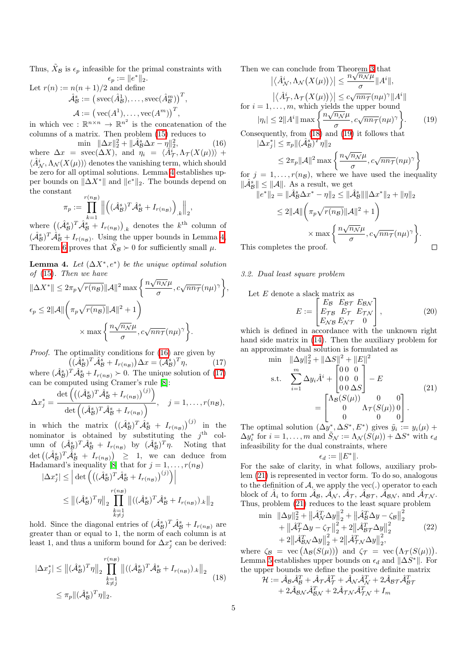Thus,  $\tilde{X}_{\beta}$  is  $\epsilon_p$  infeasible for the primal constraints with  $\epsilon_p := \|e^*\|_2.$ 

Let  $r(n) := n(n+1)/2$  and define

$$
\hat{\mathcal{A}}_{\mathcal{B}}^{s} := (\text{succ}(\hat{A}_{\mathcal{B}}^{1}), \dots, \text{succ}(\hat{A}_{\mathcal{B}}^{m}))^{T},
$$

$$
\mathcal{A} := (\text{vec}(A^{1}), \dots, \text{vec}(A^{m}))^{T},
$$

in which vec :  $\mathbb{R}^{n \times n} \to \mathbb{R}^{n^2}$  is the concatenation of the columns of a matrix. Then problem (15) reduces to

 $\min \quad \|\Delta x\|_2^2 + \|\hat{\mathcal{A}}_{\mathcal{B}}^s \Delta x - \eta\|_2^2$  $(16)$ where  $\Delta x = \text{spec}(\Delta X)$ , and  $\tilde{\eta}_i = \langle \hat{A}^i_{\mathcal{T}}, \Lambda_{\mathcal{T}}(X(\mu)) \rangle +$  $\langle \hat{A}^i_N, \Lambda_N(X(\mu)) \rangle$  denotes the vanishing term, which should be zero for all optimal solutions. Lemma  $\frac{1}{4}$  establishes upper bounds on  $\|\Delta X^*\|$  and  $\|e^*\|_2$ . The bounds depend on the constant (*nB*)

$$
\pi_p := \prod_{k=1}^{r(n_B)} \left\| \left( (\hat{\mathcal{A}}^s_{\mathcal{B}})^T \hat{\mathcal{A}}^s_{\mathcal{B}} + I_{r(n_{\mathcal{B}})} \right)_{.k} \right\|_2,
$$

where  $((\hat{\mathcal{A}}_{\mathcal{B}}^s)^T \hat{\mathcal{A}}_{\mathcal{B}}^s + I_{r(n_{\mathcal{B}})})_{k}$  denotes the  $k^{\text{th}}$  column of  $(\hat{\mathcal{A}}_{\mathcal{B}}^s)^T \hat{\mathcal{A}}_{\mathcal{B}}^s + I_{r(n_{\mathcal{B}})}$ . Using the upper bounds in Lemma 4, Theorem 6 proves that  $\tilde{X}_B \succ 0$  for sufficiently small  $\mu$ .

**Lemma 4.** Let  $(\Delta X^*, e^*)$  be the unique optimal solution *of* (15)*. Then we have*

$$
\|\Delta X^*\| \leq 2\pi_p \sqrt{r(n_B)} \|\mathcal{A}\|^2 \max\left\{\frac{n\sqrt{n_N}\mu}{\sigma}, c\sqrt{nn_T}(n\mu)^\gamma\right\},\
$$
  

$$
\epsilon_p \leq 2\|\mathcal{A}\|\left(\pi_p \sqrt{r(n_B)} \|\mathcal{A}\|^2 + 1\right) \times \max\left\{\frac{n\sqrt{n_N}\mu}{\sigma}, c\sqrt{nn_T}(n\mu)^\gamma\right\}.
$$

*Proof.* The optimality conditions for  $(16)$  are given by

 $\left((\mathcal{A}_{\mathcal{B}}^s)^T \mathcal{A}_{\mathcal{B}}^s + I_{r(n_{\mathcal{B}})}\right) \Delta x = \overline{(\mathcal{A}_{\mathcal{B}}^s)^T \eta},$ (17) where  $(\hat{\mathcal{A}}_{\mathcal{B}}^s)^T \hat{\mathcal{A}}_{\mathcal{B}}^s + I_{r(n_{\mathcal{B}})} \succ 0$ . The unique solution of  $(17)$ can be computed using Cramer's rule [8]:

$$
\Delta x_j^* = \frac{\det \left( \left( (\hat{\mathcal{A}}_{\mathcal{B}}^s)^T \hat{\mathcal{A}}_{\mathcal{B}}^s + I_{r(n_{\mathcal{B}})} \right)^{(j)} \right)}{\det \left( (\hat{\mathcal{A}}_{\mathcal{B}}^s)^T \hat{\mathcal{A}}_{\mathcal{B}}^s + I_{r(n_{\mathcal{B}})} \right)}, \quad j = 1, \dots, r(n_{\mathcal{B}}),
$$

in which the matrix  $((\hat{\mathcal{A}}_{\mathcal{B}}^s)^T \hat{\mathcal{A}}_{\mathcal{B}}^s + I_{r(n_{\mathcal{B}})})^{(j)}$  in the nominator is obtained by substituting the *j*th column of  $(\hat{\mathcal{A}}_{\mathcal{B}}^{s})^{T} \hat{\mathcal{A}}_{\mathcal{B}}^{s} + I_{r(n_{\mathcal{B}})}$  by  $(\hat{\mathcal{A}}_{\mathcal{B}}^{s})^{T} \eta$ . Noting that  $\det \left( (\hat{\mathcal{A}}_{\mathcal{B}}^s)^T \hat{\mathcal{A}}_{\mathcal{B}}^s + I_{r(n_{\mathcal{B}})} \right) \geq 1$ , we can deduce from Hadamard's inequality  $[8]$  that for  $j = 1, \ldots, r(n_B)$ <br>  $\left| \frac{\Delta \alpha^*}{\Delta t} \right| \leq \left| \frac{\Delta \alpha}{\Delta t} \left( \frac{f(\hat{\beta}^s) T - \hat{\beta}^s}{\Delta t} + I \right) \right|$ 

$$
|\Delta x_j^*| \leq \left| \det \left( \left( (\hat{A}_{\mathcal{B}}^s)^T \hat{A}_{\mathcal{B}}^s + I_{r(n_{\mathcal{B}})} \right)^{(j)} \right) \right|
$$
  

$$
\leq ||(\hat{A}_{\mathcal{B}}^s)^T \eta||_2 \prod_{\substack{k=1\\k \neq j}}^{r(n_{\mathcal{B}})} ||((\hat{A}_{\mathcal{B}}^s)^T \hat{A}_{\mathcal{B}}^s + I_{r(n_{\mathcal{B}})})_k||_2
$$

hold. Since the diagonal entries of  $(\hat{\mathcal{A}}_{\mathcal{B}}^s)^T \hat{\mathcal{A}}_{\mathcal{B}}^s + I_{r(n_{\mathcal{B}})}$  are greater than or equal to 1, the norm of each column is at least 1, and thus a uniform bound for  $\Delta x_j^*$  can be derived:

$$
|\Delta x_j^*| \le ||(\hat{\mathcal{A}}_{\mathcal{B}}^s)^T \eta||_2 \prod_{\substack{k=1\\k \neq j}}^{r(n_{\mathcal{B}})} ||((\hat{\mathcal{A}}_{\mathcal{B}}^s)^T \hat{\mathcal{A}}_{\mathcal{B}}^s + I_{r(n_{\mathcal{B}})})_k||_2
$$
  
 
$$
\le \pi_p ||(\hat{\mathcal{A}}_{\mathcal{B}}^s)^T \eta||_2.
$$
 (18)

Then we can conclude from Theorem 3 that

 ⌦ *A*ˆ*i <sup>N</sup> ,*⇤*<sup>N</sup> X*(*µ*) ↵ *n* <sup>p</sup>*n<sup>N</sup> <sup>µ</sup>* <sup>k</sup>*A<sup>i</sup>* k*,* ⌦ *A*ˆ*i <sup>T</sup> ,*⇤*<sup>T</sup> X*(*µ*) ↵ *c* <sup>p</sup>*nn<sup>T</sup>* (*nµ*) k*A<sup>i</sup>* k for *i* = 1*,...,m*, which yields the upper bound *<sup>|</sup>*⌘*i<sup>|</sup>* <sup>2</sup>k*A<sup>i</sup>* <sup>k</sup> max ⇢*<sup>n</sup>* <sup>p</sup>*n<sup>N</sup> <sup>µ</sup> , c*p*nn<sup>T</sup>* (*nµ*) *.* (19)

Consequently, from  $(18)$  and  $(19)$  it follows that  $|\Delta x_j^*| \leq \pi_p ||(\hat{\mathcal{A}}_{\mathcal{B}}^s)^T \eta||_2$ 

$$
\le 2\pi_p\|\mathcal{A}\|^2\max\left\{\frac{n\sqrt{n_{\mathcal{N}}}\mu}{\sigma}, c\sqrt{nn_{\mathcal{T}}}(n\mu)^{\gamma}\right\}
$$

for  $j = 1, \ldots, r(n, B)$ , where we have used the inequality  $\|\hat{\mathcal{A}}_{\mathcal{B}}^s\| \leq \|\mathcal{A}\|$ . As a result, we get

$$
||e^*||_2 = ||\hat{\mathcal{A}}_B^s \Delta x^* - \eta||_2 \le ||\hat{\mathcal{A}}_B^s|| \|\Delta x^*\|_2 + \|\eta\|_2
$$
  
\n
$$
\le 2||\mathcal{A}|| \left(\pi_p \sqrt{r(n_B)} ||\mathcal{A}||^2 + 1\right)
$$
  
\n
$$
\times \max \left\{\frac{n\sqrt{n_N}\mu}{\sigma}, c\sqrt{n n_T}(n\mu)^\gamma\right\}.
$$
  
\ns completes the proof

This completes the proof.

#### *3.2. Dual least square problem*

Let *E* denote a slack matrix as  
\n
$$
E := \begin{bmatrix} E_B & E_{BT} & E_{BN} \\ E_{T} & E_{T} & E_{TN} \\ E_{N} & E_{N} & 0 \end{bmatrix},
$$
\n(20)

which is defined in accordance with the unknown right hand side matrix in  $(14)$ . Then the auxiliary problem for an approximate dual solution is formulated as

$$
\begin{aligned}\n\min \quad & \|\Delta y\|_2^2 + \|\Delta S\|^2 + \|E\|^2 \\
\text{s.t.} \quad & \sum_{i=1}^m \Delta y_i \hat{A}^i + \begin{bmatrix} 0 & 0 & 0 \\ 0 & 0 & 0 \\ 0 & 0 & \Delta S \end{bmatrix} - E \\
& = \begin{bmatrix} \Lambda_B(S(\mu)) & 0 & 0 \\ 0 & \Lambda_{\mathcal{T}}(S(\mu)) & 0 \\ 0 & 0 & 0 \end{bmatrix}.\n\end{aligned} \tag{21}
$$

The optimal solution  $(\Delta y^*, \Delta S^*, E^*)$  gives  $\tilde{y}_i := y_i(\mu) +$  $\Delta y_i^*$  for  $i = 1, ..., m$  and  $\tilde{S}_\mathcal{N} := \Lambda_\mathcal{N}(S(\mu)) + \Delta S^*$  with  $\epsilon_d$ infeasibility for the dual constraints, where

$$
\epsilon_d := \|E^*\|.
$$

For the sake of clarity, in what follows, auxiliary problem (21) is represented in vector form. To do so, analogous to the definition of  $A$ , we apply the vec(.) operator to each block of  $\ddot{A}_i$  to form  $\ddot{A}_B$ ,  $\ddot{A}_N$ ,  $\ddot{A}_T$ ,  $\ddot{A}_{B}$ ,  $\ddot{A}_{B}$ , and  $\ddot{A}_{T}$ . Thus, problem  $(21)$  reduces to the least square problem

$$
\begin{aligned}\n\min \quad & \|\Delta y\|_{2}^{2} + \left\|\hat{\mathcal{A}}_{\mathcal{N}}^{T} \Delta y\right\|_{2}^{2} + \left\|\hat{\mathcal{A}}_{\mathcal{B}}^{T} \Delta y - \zeta_{\mathcal{B}}\right\|_{2}^{2} \\
&+ \left\|\hat{\mathcal{A}}_{\mathcal{T}}^{T} \Delta y - \zeta_{\mathcal{T}}\right\|_{2}^{2} + 2\left\|\hat{\mathcal{A}}_{\mathcal{B}\mathcal{T}}^{T} \Delta y\right\|_{2}^{2} \\
&+ 2\left\|\hat{\mathcal{A}}_{\mathcal{B}\mathcal{N}}^{T} \Delta y\right\|_{2}^{2} + 2\left\|\hat{\mathcal{A}}_{\mathcal{TN}}^{T} \Delta y\right\|_{2}^{2},\n\end{aligned} \tag{22}
$$

where  $\zeta_{\mathcal{B}} = \text{vec}(\Lambda_{\mathcal{B}}(S(\mu)))$  and  $\zeta_{\mathcal{T}} = \text{vec}(\Lambda_{\mathcal{T}}(S(\mu)))$ . Lemma  $5$  establishes upper bounds on  $\epsilon_d$  and  $||\Delta S^*||$ . For the upper bounds we define the positive definite matrix

$$
\mathcal{H} := \hat{\mathcal{A}}_{\mathcal{B}} \hat{\mathcal{A}}_{\mathcal{B}}^T + \hat{\mathcal{A}}_{\mathcal{T}} \hat{\mathcal{A}}_{\mathcal{T}}^T + \hat{\mathcal{A}}_{\mathcal{N}} \hat{\mathcal{A}}_{\mathcal{N}}^T + 2 \hat{\mathcal{A}}_{\mathcal{B}} \tau \hat{\mathcal{A}}_{\mathcal{B}}^T + 2 \hat{\mathcal{A}}_{\mathcal{B}} \tau \hat{\mathcal{A}}_{\mathcal{B}}^T + 2 \hat{\mathcal{A}}_{\mathcal{B}} \tau \hat{\mathcal{A}}_{\mathcal{B}}^T + 2 \hat{\mathcal{A}}_{\mathcal{B}} \tau \hat{\mathcal{A}}_{\mathcal{B}}^T
$$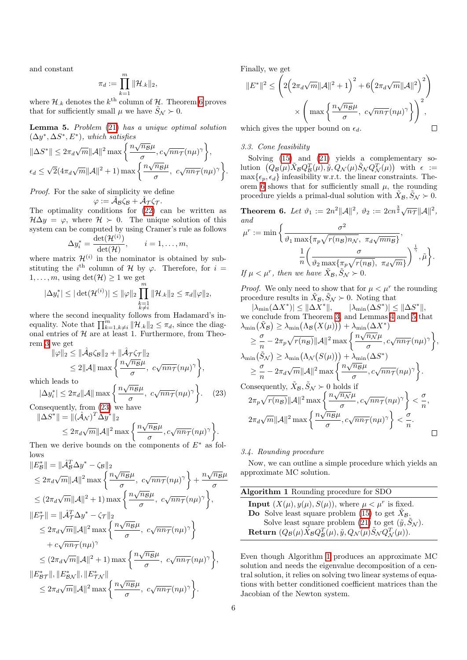and constant

$$
\pi_d:=\prod_{k=1}^m\|\mathcal{H}_{.k}\|_2,
$$

where  $\mathcal{H}_k$  denotes the  $k^{\text{th}}$  column of  $\mathcal{H}_k$ . Theorem 6 proves that for sufficiently small  $\mu$  we have  $\tilde{S}_N \succ 0$ .

Lemma 5. *Problem* (21) *has a unique optimal solution*  $(\Delta y^*, \Delta S^*, E^*)$ , which satisfies

$$
\|\Delta S^*\| \leq 2\pi_d \sqrt{m} \|\mathcal{A}\|^2 \max\left\{\frac{n\sqrt{n_B}\mu}{\sigma}, c\sqrt{n n_T}(n\mu)^{\gamma}\right\},\
$$

$$
\epsilon_d \leq \sqrt{2}(4\pi_d \sqrt{m} \|\mathcal{A}\|^2 + 1) \max\left\{\frac{n\sqrt{n_B}\mu}{\sigma}, c\sqrt{n n_T}(n\mu)^{\gamma}\right\}.
$$

*Proof.* For the sake of simplicity we define

 $\varphi := \mathcal{A}_{\mathcal{B}}\zeta_{\mathcal{B}} + \mathcal{A}_{\mathcal{T}}\zeta_{\mathcal{T}}.$ 

The optimality conditions for  $(22)$  can be written as  $\mathcal{H}\Delta y = \varphi$ , where  $\mathcal{H} \succ 0$ . The unique solution of this system can be computed by using Cramer's rule as follows

$$
\Delta y_i^* = \frac{\det(\mathcal{H}^{(i)})}{\det(\mathcal{H})}, \qquad i = 1, \dots, m,
$$

where matrix  $\mathcal{H}^{(i)}$  in the nominator is obtained by substituting the *i*<sup>th</sup> column of *H* by  $\varphi$ . Therefore, for *i* =  $1, \ldots, m$ , using  $\det(\mathcal{H}) \geq 1$  we get

$$
|\Delta y_i^*| \leq |\det(\mathcal{H}^{(i)})| \leq ||\varphi||_2 \prod_{\substack{k=1 \ k \neq i}}^m ||\mathcal{H}_{.k}||_2 \leq \pi_d ||\varphi||_2,
$$

where the second inequality follows from Hadamard's inequality. Note that  $\prod_{k=1, k\neq i}^{m} ||\mathcal{H}_{k}||_{2} \leq \pi_{d}$ , since the diagonal entries of  $H$  are at least 1. Furthermore, from Theorem  $3$  we get

$$
\begin{aligned} \|\varphi\|_2 &\leq \|\hat{\mathcal{A}}_{\mathcal{B}}\zeta_{\mathcal{B}}\|_2 + \|\hat{\mathcal{A}}_{\mathcal{T}}\zeta_{\mathcal{T}}\|_2 \\ &\leq 2\|\mathcal{A}\| \max\left\{\frac{n\sqrt{n_{\mathcal{B}}\mu}}{\sigma}, \ c\sqrt{n_{\mathcal{T}}}(n\mu)^{\gamma}\right\}, \end{aligned}
$$

which leads to

$$
|\Delta y_i^*| \le 2\pi_d ||\mathcal{A}|| \max \left\{ \frac{n\sqrt{n_B}\mu}{\sigma}, \ c\sqrt{n n_T}(n\mu)^\gamma \right\}.
$$
 (23)

Consequently, from (23) we have

$$
\|\Delta S^*\| = \|(\hat{\mathcal{A}}_{\mathcal{N}})^T \overline{\Delta y}^*\|_2
$$
  
\n
$$
\leq 2\pi_d \sqrt{m} \|\mathcal{A}\|^2 \max \left\{ \frac{n\sqrt{n_B} \mu}{\sigma}, c\sqrt{n n_T} (n\mu)^{\gamma} \right\}.
$$

Then we derive bounds on the components of  $E^*$  as follows  $\theta$ **B**  $\theta$ *T***<sup>T</sup>** 

$$
||E_{\mathcal{B}}^{*}|| = ||A_{\mathcal{B}}^{T} \Delta y^{*} - \zeta_{\mathcal{B}}||_{2}
$$
  
\n
$$
\leq 2\pi_{d}\sqrt{m}||\mathcal{A}||^{2} \max \left\{ \frac{n\sqrt{n_{\mathcal{B}}}\mu}{\sigma}, c\sqrt{n_{\mathcal{B}}}\tau(n\mu)^{\gamma} \right\} + \frac{n\sqrt{n_{\mathcal{B}}}\mu}{\sigma}
$$
  
\n
$$
\leq (2\pi_{d}\sqrt{m}||\mathcal{A}||^{2} + 1) \max \left\{ \frac{n\sqrt{n_{\mathcal{B}}}\mu}{\sigma}, c\sqrt{n_{\mathcal{B}}}\tau(n\mu)^{\gamma} \right\},
$$
  
\n
$$
||E_{\mathcal{T}}^{*}|| = ||\mathcal{A}_{\mathcal{T}}^{T} \Delta y^{*} - \zeta_{\mathcal{T}}||_{2}
$$
  
\n
$$
\leq 2\pi_{d}\sqrt{m}||\mathcal{A}||^{2} \max \left\{ \frac{n\sqrt{n_{\mathcal{B}}}\mu}{\sigma}, c\sqrt{n_{\mathcal{B}}}\tau(n\mu)^{\gamma} \right\}
$$
  
\n
$$
+ c\sqrt{n_{\mathcal{B}}}\tau(n\mu)^{\gamma}
$$
  
\n
$$
\leq (2\pi_{d}\sqrt{m}||\mathcal{A}||^{2} + 1) \max \left\{ \frac{n\sqrt{n_{\mathcal{B}}}\mu}{\sigma}, c\sqrt{n_{\mathcal{B}}}\tau(n\mu)^{\gamma} \right\},
$$
  
\n
$$
||E_{\mathcal{B}\mathcal{T}}^{*}||, ||E_{\mathcal{B}\mathcal{N}}^{*}||, ||E_{\mathcal{T}\mathcal{N}}^{*}||
$$
  
\n
$$
\leq 2\pi_{d}\sqrt{m}||\mathcal{A}||^{2} \max \left\{ \frac{n\sqrt{n_{\mathcal{B}}}\mu}{\sigma}, c\sqrt{n_{\mathcal{B}}}\tau(n\mu)^{\gamma} \right\}.
$$

Finally, we get

$$
||E^*||^2 \le \left( 2\left(2\pi_d\sqrt{m}||\mathcal{A}||^2 + 1\right)^2 + 6\left(2\pi_d\sqrt{m}||\mathcal{A}||^2\right)^2 \right) \times \left(\max\left\{\frac{n\sqrt{n_B}\mu}{\sigma}, c\sqrt{nn_T}(n\mu)^{\gamma}\right\}\right)^2,
$$
  
which gives the upper bound on  $\epsilon_d$ .

which gives the upper bound on  $\epsilon_d$ .

# *3.3. Cone feasibility*

Solving  $(15)$  and  $(21)$  yields a complementary so- $\lim_{\epsilon \to 0} \left( Q_B(\mu) \tilde{X}_B Q_B^T(\mu), \tilde{y}, Q_{\mathcal{N}}(\mu) \tilde{S}_{\mathcal{N}} Q_{\mathcal{N}}^T(\mu) \right)$  with  $\epsilon :=$  $\max{\{\epsilon_p, \epsilon_d\}}$  infeasibility w.r.t. the linear constraints. Theorem  $\overline{6}$  shows that for sufficiently small  $\mu$ , the rounding procedure yields a primal-dual solution with  $\tilde{X}_B$ ,  $\tilde{S}_N$   $\succeq$  0.

**Theorem 6.** Let  $\vartheta_1 := 2n^2 ||\mathcal{A}||^2$ ,  $\vartheta_2 := 2cn^{\frac{3}{2}}\sqrt{n_{\mathcal{T}}}||\mathcal{A}||^2$ , *and*

$$
\mu^r := \min \left\{ \frac{\sigma^2}{\vartheta_1 \max\{\pi_p \sqrt{r(n_B)n_N}, \pi_d \sqrt{mn_B}\}}, \frac{1}{n} \left( \frac{\sigma}{\vartheta_2 \max\{\pi_p \sqrt{r(n_B)}, \pi_d \sqrt{m}\}} \right)^{\frac{1}{\gamma}}, \tilde{\mu} \right\}.
$$
  
If  $\mu < \mu^r$ , then we have  $\tilde{X}_B, \tilde{S}_N > 0$ .

*Proof.* We only need to show that for  $\mu < \mu^r$  the rounding procedure results in  $\tilde{X}_B$ ,  $\tilde{S}_N$   $\succ$  0. Noting that

 $|\lambda_{\min}(\Delta X^*)| \leq ||\Delta X^*||$ ,  $|\lambda_{\min}(\Delta S^*)| \leq ||\Delta S^*||$ , we conclude from Theorem  $3$ , and Lemmas  $4$  and  $5$  that  $\lambda_{\min}(\tilde{X}_{\mathcal{B}}) \geq \lambda_{\min}(\Lambda_{\mathcal{B}}(X(\mu))) + \lambda_{\min}(\Delta X^*)$ 

$$
\geq \frac{\sigma}{n} - 2\pi_p \sqrt{r(n_B)} ||A||^2 \max \left\{ \frac{n\sqrt{n_N}\mu}{\sigma}, c\sqrt{n n_T}(n\mu)^{\gamma} \right\},
$$
  

$$
\lambda_{\min}(\tilde{S}_N) \geq \lambda_{\min}(\Lambda_N(S(\mu))) + \lambda_{\min}(\Delta S^*)
$$
  

$$
\geq \frac{\sigma}{n} - 2\pi_d \sqrt{m} ||A||^2 \max \left\{ \frac{n\sqrt{n_B}\mu}{\sigma}, c\sqrt{n n_T}(n\mu)^{\gamma} \right\}.
$$
  
Consequently,  $\tilde{X}_B, \tilde{S}_N \succ 0$  holds if  

$$
2\pi_p \sqrt{r(n_B)} ||A||^2 \max \left\{ \frac{n\sqrt{n_N}\mu}{\sigma}, c\sqrt{n n_T}(n\mu)^{\gamma} \right\} < \frac{\sigma}{n},
$$
  

$$
2\pi_d \sqrt{m} ||A||^2 \max \left\{ \frac{n\sqrt{n_B}\mu}{\sigma}, c\sqrt{n n_T}(n\mu)^{\gamma} \right\} < \frac{\sigma}{n}.
$$

# *3.4. Rounding procedure*

Now, we can outline a simple procedure which yields an approximate MC solution.

| Algorithm 1 Rounding procedure for SDO                                                                                                                                                                                  |
|-------------------------------------------------------------------------------------------------------------------------------------------------------------------------------------------------------------------------|
| <b>Input</b> $(X(\mu), y(\mu), S(\mu))$ , where $\mu < \mu^r$ is fixed.<br><b>Do</b> Solve least square problem $(15)$ to get $\tilde{X}_{\mathcal{B}}$ .                                                               |
| Solve least square problem $(21)$ to get $(\tilde{y}, \tilde{S}_{\mathcal{N}})$ .<br><b>Return</b> $(Q_B(\mu) \tilde{X}_B Q_B^T(\mu), \tilde{y}, Q_{\mathcal{N}}(\mu) \tilde{S}_{\mathcal{N}} Q_{\mathcal{N}}^T(\mu)).$ |

Even though Algorithm  $\boxed{1}$  produces an approximate MC solution and needs the eigenvalue decomposition of a central solution, it relies on solving two linear systems of equations with better conditioned coefficient matrices than the Jacobian of the Newton system.